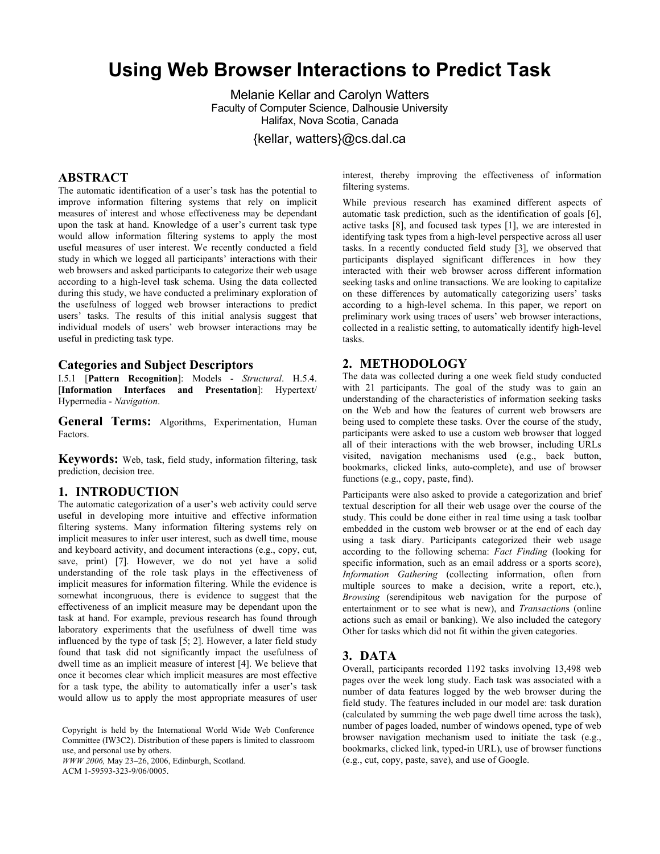# **Using Web Browser Interactions to Predict Task**

Melanie Kellar and Carolyn Watters Faculty of Computer Science, Dalhousie University Halifax, Nova Scotia, Canada

{kellar, watters}@cs.dal.ca

# **ABSTRACT**

The automatic identification of a user's task has the potential to improve information filtering systems that rely on implicit measures of interest and whose effectiveness may be dependant upon the task at hand. Knowledge of a user's current task type would allow information filtering systems to apply the most useful measures of user interest. We recently conducted a field study in which we logged all participants' interactions with their web browsers and asked participants to categorize their web usage according to a high-level task schema. Using the data collected during this study, we have conducted a preliminary exploration of the usefulness of logged web browser interactions to predict users' tasks. The results of this initial analysis suggest that individual models of users' web browser interactions may be useful in predicting task type.

#### **Categories and Subject Descriptors**

I.5.1 [**Pattern Recognition**]: Models - *Structural*. H.5.4. [**Information Interfaces and Presentation**]: Hypertext/ Hypermedia - *Navigation*.

**General Terms:** Algorithms, Experimentation, Human Factors.

**Keywords:** Web, task, field study, information filtering, task prediction, decision tree.

#### **1. INTRODUCTION**

The automatic categorization of a user's web activity could serve useful in developing more intuitive and effective information filtering systems. Many information filtering systems rely on implicit measures to infer user interest, such as dwell time, mouse and keyboard activity, and document interactions (e.g., copy, cut, save, print) [7]. However, we do not yet have a solid understanding of the role task plays in the effectiveness of implicit measures for information filtering. While the evidence is somewhat incongruous, there is evidence to suggest that the effectiveness of an implicit measure may be dependant upon the task at hand. For example, previous research has found through laboratory experiments that the usefulness of dwell time was influenced by the type of task [5; 2]. However, a later field study found that task did not significantly impact the usefulness of dwell time as an implicit measure of interest [4]. We believe that once it becomes clear which implicit measures are most effective for a task type, the ability to automatically infer a user's task would allow us to apply the most appropriate measures of user

Copyright is held by the International World Wide Web Conference Committee (IW3C2). Distribution of these papers is limited to classroom use, and personal use by others.

*WWW 2006,* May 23–26, 2006, Edinburgh, Scotland.

ACM 1-59593-323-9/06/0005.

interest, thereby improving the effectiveness of information filtering systems.

While previous research has examined different aspects of automatic task prediction, such as the identification of goals [6], active tasks [8], and focused task types [1], we are interested in identifying task types from a high-level perspective across all user tasks. In a recently conducted field study [3], we observed that participants displayed significant differences in how they interacted with their web browser across different information seeking tasks and online transactions. We are looking to capitalize on these differences by automatically categorizing users' tasks according to a high-level schema. In this paper, we report on preliminary work using traces of users' web browser interactions, collected in a realistic setting, to automatically identify high-level tasks.

## **2. METHODOLOGY**

The data was collected during a one week field study conducted with 21 participants. The goal of the study was to gain an understanding of the characteristics of information seeking tasks on the Web and how the features of current web browsers are being used to complete these tasks. Over the course of the study, participants were asked to use a custom web browser that logged all of their interactions with the web browser, including URLs visited, navigation mechanisms used (e.g., back button, bookmarks, clicked links, auto-complete), and use of browser functions (e.g., copy, paste, find).

Participants were also asked to provide a categorization and brief textual description for all their web usage over the course of the study. This could be done either in real time using a task toolbar embedded in the custom web browser or at the end of each day using a task diary. Participants categorized their web usage according to the following schema: *Fact Finding* (looking for specific information, such as an email address or a sports score), *Information Gathering* (collecting information, often from multiple sources to make a decision, write a report, etc.), *Browsing* (serendipitous web navigation for the purpose of entertainment or to see what is new), and *Transaction*s (online actions such as email or banking). We also included the category Other for tasks which did not fit within the given categories.

#### **3. DATA**

Overall, participants recorded 1192 tasks involving 13,498 web pages over the week long study. Each task was associated with a number of data features logged by the web browser during the field study. The features included in our model are: task duration (calculated by summing the web page dwell time across the task), number of pages loaded, number of windows opened, type of web browser navigation mechanism used to initiate the task (e.g., bookmarks, clicked link, typed-in URL), use of browser functions (e.g., cut, copy, paste, save), and use of Google.